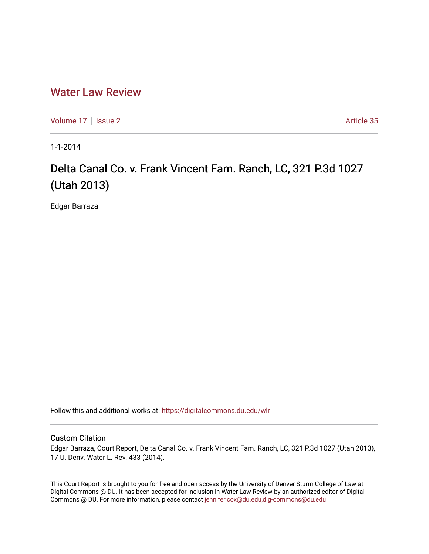# [Water Law Review](https://digitalcommons.du.edu/wlr)

[Volume 17](https://digitalcommons.du.edu/wlr/vol17) | [Issue 2](https://digitalcommons.du.edu/wlr/vol17/iss2) Article 35

1-1-2014

# Delta Canal Co. v. Frank Vincent Fam. Ranch, LC, 321 P.3d 1027 (Utah 2013)

Edgar Barraza

Follow this and additional works at: [https://digitalcommons.du.edu/wlr](https://digitalcommons.du.edu/wlr?utm_source=digitalcommons.du.edu%2Fwlr%2Fvol17%2Fiss2%2F35&utm_medium=PDF&utm_campaign=PDFCoverPages) 

#### Custom Citation

Edgar Barraza, Court Report, Delta Canal Co. v. Frank Vincent Fam. Ranch, LC, 321 P.3d 1027 (Utah 2013), 17 U. Denv. Water L. Rev. 433 (2014).

This Court Report is brought to you for free and open access by the University of Denver Sturm College of Law at Digital Commons @ DU. It has been accepted for inclusion in Water Law Review by an authorized editor of Digital Commons @ DU. For more information, please contact [jennifer.cox@du.edu,dig-commons@du.edu.](mailto:jennifer.cox@du.edu,dig-commons@du.edu)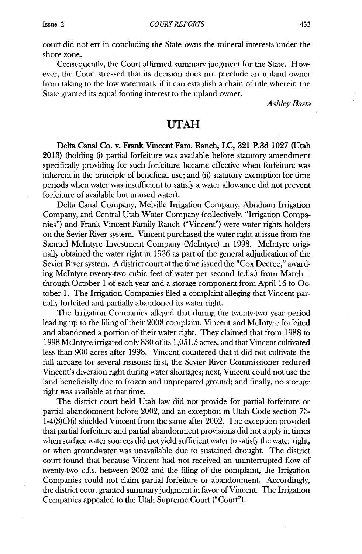**court** did not err in concluding the State owns the mineral interests under the shore zone.

Consequently, the Court affirmed summary judgment for the State. However, the Court stressed that its decision does not preclude an upland owner from taking to the low watermark if it can establish a chain of title wherein the State granted its equal footing interest to the upland owner.

*Ashley Basta*

## **UTAH**

**Delta Canal Co. v. Frank Vincent Fam. Ranch, LC, 321 P.3d 1027 (Utah 2013) (holding** (i) partial forfeiture was available before statutory amendment specifically providing for such forfeiture became effective when forfeiture was inherent in the principle of beneficial use; and (ii) statutory exemption for time periods when water was insufficient to satisfy a water allowance did not prevent forfeiture of available but unused water).

Delta Canal Company, Melville Irrigation Company, Abraham Irrigation Company, and Central Utah Water Company (collectively, "Irrigation Companies") and Frank Vincent Family Ranch ("Vincent") were water rights holders on the Sevier River system. Vincent purchased the water right at issue from the Samuel McIntyre Investment Company (McIntyre) in **1998.** McIntyre originally obtained the water right in **1936** as part of the general adjudication of the Sevier River system. **A** district court at the time issued the "Cox Decree," awarding McIntyre twenty-two cubic feet of water per second (c.f.s.) from March **1** through October 1 of each year and a storage component from April **16** to October **1.** The Irrigation Companies filed a complaint alleging that Vincent partially forfeited and partially abandoned its water right.

The Irrigation Companies alleged that during the twenty-two year period leading up to the filing of their **2008** complaint, Vincent and McIntyre forfeited and abandoned a portion of their water right. They claimed that from **1988** to **1998** McIntyre irrigated only **830** of its *1,051.5* acres, and that Vincent cultivated less than **900** acres after **1998.** Vincent countered that it did not cultivate the full acreage for several reasons: first, the Sevier River Commissioner reduced Vincent's diversion right during water shortages; next, Vincent could not use the land beneficially due to frozen and unprepared ground; and finally, no storage right was available at that time.

The district court held Utah law did not provide for partial forfeiture or partial abandonment before 2002, and an exception in Utah Code section **73-** 1-4(3)(f)(i) shielded Vincent from the same after 2002. The exception provided that partial forfeiture and partial abandonment provisions did not apply in times when surface water sources did not yield sufficient water to satisfy the water right, or when groundwater was unavailable due to sustained drought. The district court found that because Vincent had not received an uninterrupted flow of twenty-two c.f.s. between 2002 and the filing of the complaint, the Irrigation Companies could not claim partial forfeiture or abandonment. Accordingly, the district court granted summary judgment in favor of Vincent. The Irrigation Companies appealed to the Utah Supreme Court ("Court").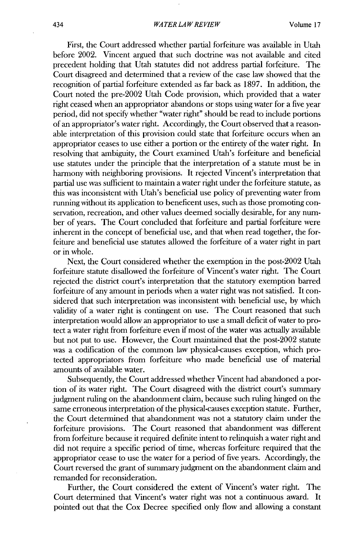First, the Court addressed whether partial forfeiture was available in Utah before 2002. Vincent argued that such doctrine was not available and cited precedent holding that Utah statutes did not address partial forfeiture. The Court disagreed and determined that a review of the case law showed that the recognition of partial forfeiture extended as far back as **1897.** In addition, the Court noted the pre-2002 Utah Code provision, which provided that a water right ceased when an appropriator abandons or stops using water for a five year period, **did** not specify whether "water right" should be read to include portions of an appropriator's water right. Accordingly, the Court observed that a reasonable interpretation of this provision could state that forfeiture occurs when an appropriator ceases to use either a portion or the entirety of the water right. In resolving that ambiguity, the Court examined Utah's forfeiture and beneficial use statutes under the principle that the interpretation of a statute must be **in** harmony with neighboring provisions. It rejected Vincent's interpretation that partial use was sufficient to maintain a water right under the forfeiture statute, as this was inconsistent with Utah's beneficial use policy of preventing water from running without its application to beneficent uses, such as those promoting conservation, recreation, and other values deemed socially desirable, for any number of years. The Court concluded that forfeiture and partial forfeiture were inherent in the concept of beneficial use, and that when read together, the forfeiture and beneficial use statutes allowed the forfeiture of a water right in part or in whole.

Next, the Court considered whether the exemption in the post-2002 Utah forfeiture statute disallowed the forfeiture of Vincent's water right. The Court rejected the district court's interpretation that the statutory exemption barred forfeiture of any amount in periods when a water right was not satisfied. It considered that such interpretation was inconsistent with beneficial use, **by** which validity of a water right is contingent on use. The Court reasoned that such interpretation would allow an appropriator to use a small deficit of water to protect a water right from forfeiture even if most of the water was actually available but not put to use. However, the Court maintained that the post-2002 statute was a codification of the common law physical-causes exception, which protected appropriators from forfeiture who made beneficial use of material amounts of available water.

Subsequently, the Court addressed whether Vincent had abandoned a portion of its water right. The Court disagreed with the district court's summary judgment ruling on the abandonment claim, because such ruling hinged on the same erroneous interpretation of the physical-causes exception statute. Further, the Court determined that abandonment was not a statutory claim under the forfeiture provisions. The Court reasoned that abandonment was different from forfeiture because it required definite intent to relinquish a water right and did not require a specific period of time, whereas forfeiture required that the appropriator cease to use the water for a period of five years. Accordingly, the Court reversed the grant of summary judgment on the abandonment claim and remanded for reconsideration.

Further, the Court considered the extent of Vincent's water right. The Court determined that Vincent's water right was not a continuous award. It pointed out that the Cox Decree specified only flow and allowing a constant